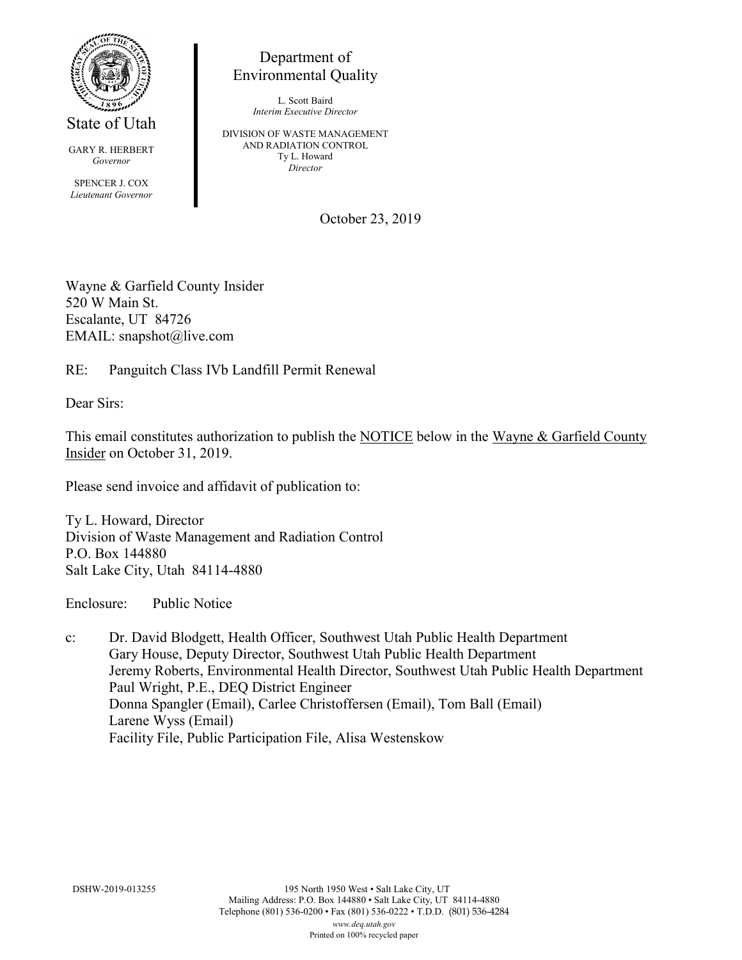

State of Utah

GARY R. HERBERT *Governor* SPENCER J. COX *Lieutenant Governor*

Department of Environmental Quality

> L. Scott Baird *Interim Executive Director*

DIVISION OF WASTE MANAGEMENT AND RADIATION CONTROL Ty L. Howard *Director*

October 23, 2019

Wayne & Garfield County Insider 520 W Main St. Escalante, UT 84726 EMAIL: snapshot@live.com

RE: Panguitch Class IVb Landfill Permit Renewal

Dear Sirs:

This email constitutes authorization to publish the NOTICE below in the Wayne & Garfield County Insider on October 31, 2019.

Please send invoice and affidavit of publication to:

Ty L. Howard, Director Division of Waste Management and Radiation Control P.O. Box 144880 Salt Lake City, Utah 84114-4880

Enclosure: Public Notice

c: Dr. David Blodgett, Health Officer, Southwest Utah Public Health Department Gary House, Deputy Director, Southwest Utah Public Health Department Jeremy Roberts, Environmental Health Director, Southwest Utah Public Health Department Paul Wright, P.E., DEQ District Engineer Donna Spangler (Email), Carlee Christoffersen (Email), Tom Ball (Email) Larene Wyss (Email) Facility File, Public Participation File, Alisa Westenskow